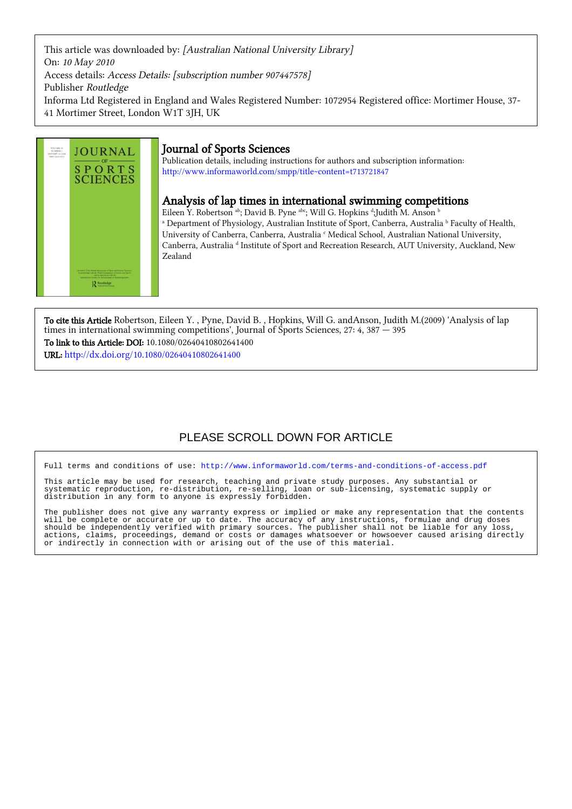This article was downloaded by: [Australian National University Library] On: 10 May 2010 Access details: Access Details: [subscription number 907447578] Publisher Routledge Informa Ltd Registered in England and Wales Registered Number: 1072954 Registered office: Mortimer House, 37- 41 Mortimer Street, London W1T 3JH, UK



# Journal of Sports Sciences

Publication details, including instructions for authors and subscription information: <http://www.informaworld.com/smpp/title~content=t713721847>

# Analysis of lap times in international swimming competitions

Eileen Y. Robertson <sup>ab</sup>; David B. Pyne <sup>abc</sup>; Will G. Hopkins <sup>a</sup>;Judith M. Anson <sup>b</sup> <sup>a</sup> Department of Physiology, Australian Institute of Sport, Canberra, Australia <sup>b</sup> Faculty of Health, University of Canberra, Canberra, Australia <sup>c</sup> Medical School, Australian National University, Canberra, Australia d Institute of Sport and Recreation Research, AUT University, Auckland, New Zealand

To cite this Article Robertson, Eileen Y. , Pyne, David B. , Hopkins, Will G. andAnson, Judith M.(2009) 'Analysis of lap times in international swimming competitions', Journal of Sports Sciences, 27: 4, 387 — 395 To link to this Article: DOI: 10.1080/02640410802641400

URL: <http://dx.doi.org/10.1080/02640410802641400>

# PLEASE SCROLL DOWN FOR ARTICLE

Full terms and conditions of use:<http://www.informaworld.com/terms-and-conditions-of-access.pdf>

This article may be used for research, teaching and private study purposes. Any substantial or systematic reproduction, re-distribution, re-selling, loan or sub-licensing, systematic supply or distribution in any form to anyone is expressly forbidden.

The publisher does not give any warranty express or implied or make any representation that the contents will be complete or accurate or up to date. The accuracy of any instructions, formulae and drug doses should be independently verified with primary sources. The publisher shall not be liable for any loss, actions, claims, proceedings, demand or costs or damages whatsoever or howsoever caused arising directly or indirectly in connection with or arising out of the use of this material.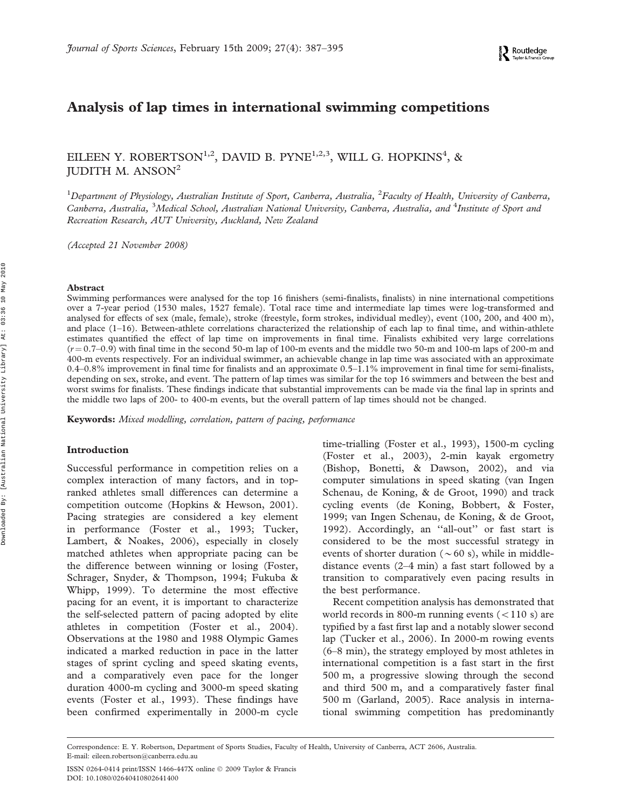# Analysis of lap times in international swimming competitions

EILEEN Y. ROBERTSON<sup>1,2</sup>, DAVID B. PYNE<sup>1,2,3</sup>, WILL G. HOPKINS<sup>4</sup>, & JUDITH M. ANSON2

<sup>1</sup>Department of Physiology, Australian Institute of Sport, Canberra, Australia, <sup>2</sup>Faculty of Health, University of Canberra, Canberra, Australia, <sup>3</sup>Medical School, Australian National University, Canberra, Australia, and <sup>4</sup>Institute of Sport and Recreation Research, AUT University, Auckland, New Zealand

(Accepted 21 November 2008)

### Abstract

Swimming performances were analysed for the top 16 finishers (semi-finalists, finalists) in nine international competitions over a 7-year period (1530 males, 1527 female). Total race time and intermediate lap times were log-transformed and analysed for effects of sex (male, female), stroke (freestyle, form strokes, individual medley), event (100, 200, and 400 m), and place (1–16). Between-athlete correlations characterized the relationship of each lap to final time, and within-athlete estimates quantified the effect of lap time on improvements in final time. Finalists exhibited very large correlations  $(r = 0.7-0.9)$  with final time in the second 50-m lap of 100-m events and the middle two 50-m and 100-m laps of 200-m and 400-m events respectively. For an individual swimmer, an achievable change in lap time was associated with an approximate  $0.4-0.8\%$  improvement in final time for finalists and an approximate  $0.5-1.1\%$  improvement in final time for semi-finalists, depending on sex, stroke, and event. The pattern of lap times was similar for the top 16 swimmers and between the best and worst swims for finalists. These findings indicate that substantial improvements can be made via the final lap in sprints and the middle two laps of 200- to 400-m events, but the overall pattern of lap times should not be changed.

Keywords: Mixed modelling, correlation, pattern of pacing, performance

#### Introduction

Successful performance in competition relies on a complex interaction of many factors, and in topranked athletes small differences can determine a competition outcome (Hopkins & Hewson, 2001). Pacing strategies are considered a key element in performance (Foster et al., 1993; Tucker, Lambert, & Noakes, 2006), especially in closely matched athletes when appropriate pacing can be the difference between winning or losing (Foster, Schrager, Snyder, & Thompson, 1994; Fukuba & Whipp, 1999). To determine the most effective pacing for an event, it is important to characterize the self-selected pattern of pacing adopted by elite athletes in competition (Foster et al., 2004). Observations at the 1980 and 1988 Olympic Games indicated a marked reduction in pace in the latter stages of sprint cycling and speed skating events, and a comparatively even pace for the longer duration 4000-m cycling and 3000-m speed skating events (Foster et al., 1993). These findings have been confirmed experimentally in 2000-m cycle time-trialling (Foster et al., 1993), 1500-m cycling (Foster et al., 2003), 2-min kayak ergometry (Bishop, Bonetti, & Dawson, 2002), and via computer simulations in speed skating (van Ingen Schenau, de Koning, & de Groot, 1990) and track cycling events (de Koning, Bobbert, & Foster, 1999; van Ingen Schenau, de Koning, & de Groot, 1992). Accordingly, an ''all-out'' or fast start is considered to be the most successful strategy in events of shorter duration ( $\sim 60$  s), while in middledistance events (2–4 min) a fast start followed by a transition to comparatively even pacing results in the best performance.

Recent competition analysis has demonstrated that world records in 800-m running events  $(< 110 s)$  are typified by a fast first lap and a notably slower second lap (Tucker et al., 2006). In 2000-m rowing events (6–8 min), the strategy employed by most athletes in international competition is a fast start in the first 500 m, a progressive slowing through the second and third 500 m, and a comparatively faster final 500 m (Garland, 2005). Race analysis in international swimming competition has predominantly

Correspondence: E. Y. Robertson, Department of Sports Studies, Faculty of Health, University of Canberra, ACT 2606, Australia. E-mail: eileen.robertson@canberra.edu.au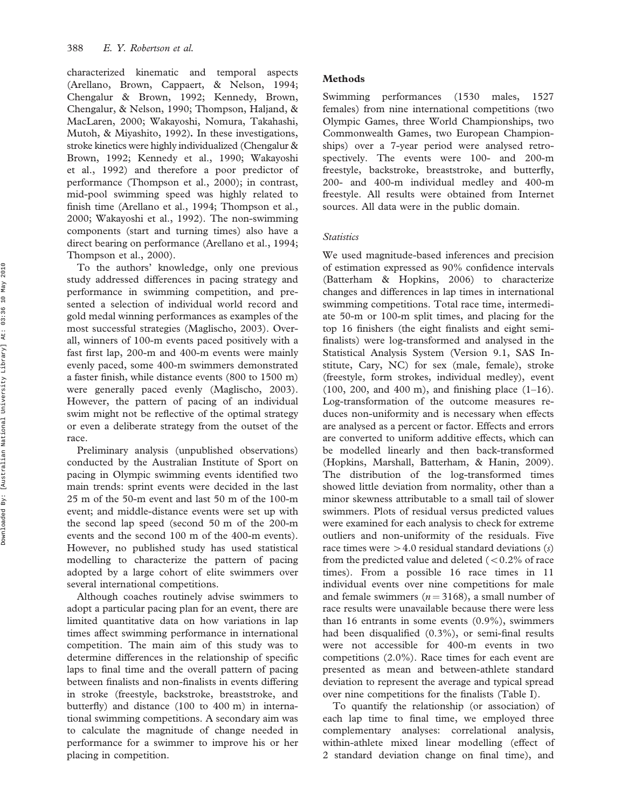characterized kinematic and temporal aspects (Arellano, Brown, Cappaert, & Nelson, 1994; Chengalur & Brown, 1992; Kennedy, Brown, Chengalur, & Nelson, 1990; Thompson, Haljand, & MacLaren, 2000; Wakayoshi, Nomura, Takahashi, Mutoh, & Miyashito, 1992). In these investigations, stroke kinetics were highly individualized (Chengalur & Brown, 1992; Kennedy et al., 1990; Wakayoshi et al., 1992) and therefore a poor predictor of performance (Thompson et al., 2000); in contrast, mid-pool swimming speed was highly related to finish time (Arellano et al., 1994; Thompson et al., 2000; Wakayoshi et al., 1992). The non-swimming components (start and turning times) also have a direct bearing on performance (Arellano et al., 1994; Thompson et al., 2000).

To the authors' knowledge, only one previous study addressed differences in pacing strategy and performance in swimming competition, and presented a selection of individual world record and gold medal winning performances as examples of the most successful strategies (Maglischo, 2003). Overall, winners of 100-m events paced positively with a fast first lap, 200-m and 400-m events were mainly evenly paced, some 400-m swimmers demonstrated a faster finish, while distance events (800 to 1500 m) were generally paced evenly (Maglischo, 2003). However, the pattern of pacing of an individual swim might not be reflective of the optimal strategy or even a deliberate strategy from the outset of the race.

Preliminary analysis (unpublished observations) conducted by the Australian Institute of Sport on pacing in Olympic swimming events identified two main trends: sprint events were decided in the last 25 m of the 50-m event and last 50 m of the 100-m event; and middle-distance events were set up with the second lap speed (second 50 m of the 200-m events and the second 100 m of the 400-m events). However, no published study has used statistical modelling to characterize the pattern of pacing adopted by a large cohort of elite swimmers over several international competitions.

Although coaches routinely advise swimmers to adopt a particular pacing plan for an event, there are limited quantitative data on how variations in lap times affect swimming performance in international competition. The main aim of this study was to determine differences in the relationship of specific laps to final time and the overall pattern of pacing between finalists and non-finalists in events differing in stroke (freestyle, backstroke, breaststroke, and butterfly) and distance (100 to 400 m) in international swimming competitions. A secondary aim was to calculate the magnitude of change needed in performance for a swimmer to improve his or her placing in competition.

#### **Methods**

Swimming performances (1530 males, 1527 females) from nine international competitions (two Olympic Games, three World Championships, two Commonwealth Games, two European Championships) over a 7-year period were analysed retrospectively. The events were 100- and 200-m freestyle, backstroke, breaststroke, and butterfly, 200- and 400-m individual medley and 400-m freestyle. All results were obtained from Internet sources. All data were in the public domain.

### **Statistics**

We used magnitude-based inferences and precision of estimation expressed as 90% confidence intervals (Batterham & Hopkins, 2006) to characterize changes and differences in lap times in international swimming competitions. Total race time, intermediate 50-m or 100-m split times, and placing for the top 16 finishers (the eight finalists and eight semifinalists) were log-transformed and analysed in the Statistical Analysis System (Version 9.1, SAS Institute, Cary, NC) for sex (male, female), stroke (freestyle, form strokes, individual medley), event  $(100, 200, \text{ and } 400 \text{ m})$ , and finishing place  $(1-16)$ . Log-transformation of the outcome measures reduces non-uniformity and is necessary when effects are analysed as a percent or factor. Effects and errors are converted to uniform additive effects, which can be modelled linearly and then back-transformed (Hopkins, Marshall, Batterham, & Hanin, 2009). The distribution of the log-transformed times showed little deviation from normality, other than a minor skewness attributable to a small tail of slower swimmers. Plots of residual versus predicted values were examined for each analysis to check for extreme outliers and non-uniformity of the residuals. Five race times were  $>4.0$  residual standard deviations  $(s)$ from the predicted value and deleted  $(< 0.2\%$  of race times). From a possible 16 race times in 11 individual events over nine competitions for male and female swimmers ( $n = 3168$ ), a small number of race results were unavailable because there were less than 16 entrants in some events (0.9%), swimmers had been disqualified (0.3%), or semi-final results were not accessible for 400-m events in two competitions (2.0%). Race times for each event are presented as mean and between-athlete standard deviation to represent the average and typical spread over nine competitions for the finalists (Table I).

To quantify the relationship (or association) of each lap time to final time, we employed three complementary analyses: correlational analysis, within-athlete mixed linear modelling (effect of 2 standard deviation change on final time), and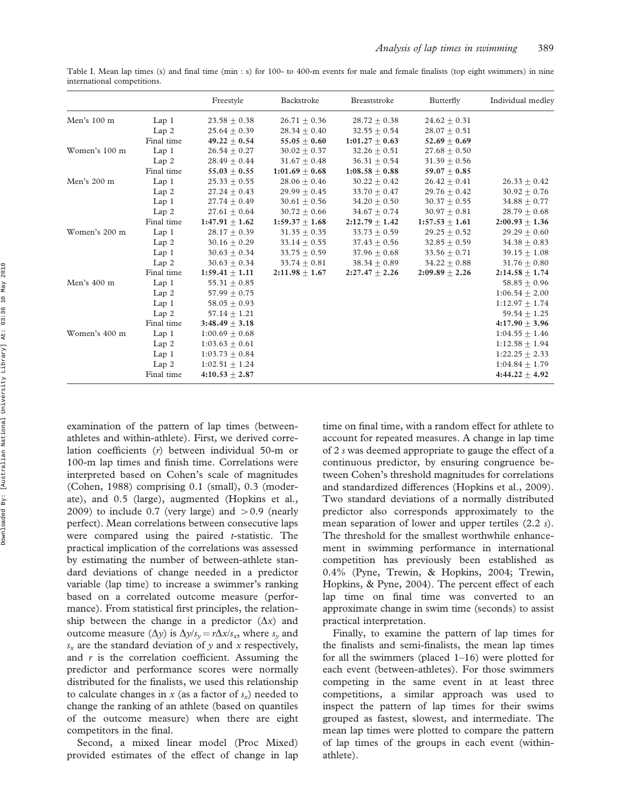Table I. Mean lap times (s) and final time (min : s) for 100- to 400-m events for male and female finalists (top eight swimmers) in nine international competitions.

|               |                  | Freestyle          | Backstroke         | Breaststroke     | Butterfly          | Individual medley  |
|---------------|------------------|--------------------|--------------------|------------------|--------------------|--------------------|
| Men's 100 m   | Lap1             | $23.58 \pm 0.38$   | $26.71 \pm 0.36$   | $28.72 \pm 0.38$ | $24.62 \pm 0.31$   |                    |
|               | Lap 2            | $25.64 + 0.39$     | $28.34 + 0.40$     | $32.55 + 0.54$   | $28.07 + 0.51$     |                    |
|               | Final time       | $49.22 \pm 0.54$   | $55.05 \pm 0.60$   | $1:01.27 + 0.63$ | $52.69 \pm 0.69$   |                    |
| Women's 100 m | Lap1             | $26.54 + 0.27$     | $30.02 + 0.37$     | $32.26 + 0.51$   | $27.68 + 0.50$     |                    |
|               | Lap2             | $28.49 + 0.44$     | $31.67 + 0.48$     | $36.31 + 0.54$   | $31.39 + 0.56$     |                    |
|               | Final time       | $55.03 + 0.55$     | $1:01.69 + 0.68$   | $1:08.58 + 0.88$ | $59.07 + 0.85$     |                    |
| Men's 200 m   | Lap1             | $25.33 + 0.55$     | $28.06 + 0.46$     | $30.22 + 0.42$   | $26.42 + 0.41$     | $26.33 + 0.42$     |
|               | Lap2             | $27.24 \pm 0.43$   | $29.99 \pm 0.45$   | $33.70 \pm 0.47$ | $29.76 \pm 0.42$   | $30.92 \pm 0.76$   |
|               | Lap1             | $27.74 + 0.49$     | $30.61 + 0.56$     | $34.20 + 0.50$   | $30.37 + 0.55$     | $34.88 + 0.77$     |
|               | Lap <sub>2</sub> | $27.61 + 0.64$     | $30.72 \pm 0.66$   | $34.67 + 0.74$   | $30.97 + 0.81$     | $28.79 + 0.68$     |
|               | Final time       | $1:47.91 + 1.62$   | $1:59.37 + 1.68$   | $2:12.79 + 1.42$ | $1:57.53 \pm 1.61$ | $2:00.93 + 1.36$   |
| Women's 200 m | Lap1             | $28.17 + 0.39$     | $31.35 + 0.35$     | $33.73 + 0.59$   | $29.25 + 0.52$     | $29.29 + 0.60$     |
|               | Lap2             | $30.16 + 0.29$     | $33.14 \pm 0.55$   | $37.43 + 0.56$   | $32.85 \pm 0.59$   | $34.38 \pm 0.83$   |
|               | Lap1             | $30.63 + 0.34$     | $33.75 + 0.59$     | $37.96 + 0.68$   | $33.56 + 0.71$     | $39.15 + 1.08$     |
|               | Lap 2            | $30.63 \pm 0.34$   | $33.74 + 0.81$     | $38.34 \pm 0.89$ | $34.22 + 0.88$     | $31.76 \pm 0.80$   |
|               | Final time       | $1:59.41 + 1.11$   | $2:11.98 \pm 1.67$ | $2:27.47 + 2.26$ | $2:09.89 + 2.26$   | $2:14.58 + 1.74$   |
| Men's 400 m   | Lap 1            | 55.31 $\pm$ 0.85   |                    |                  |                    | $58.85 + 0.96$     |
|               | Lap2             | $57.99 + 0.75$     |                    |                  |                    | $1:06.54 + 2.00$   |
|               | Lap1             | $58.05 + 0.93$     |                    |                  |                    | $1:12.97 + 1.74$   |
|               | Lap2             | $57.14 \pm 1.21$   |                    |                  |                    | $59.54 \pm 1.25$   |
|               | Final time       | $3:48.49 + 3.18$   |                    |                  |                    | $4:17.90 + 3.96$   |
| Women's 400 m | Lap1             | $1:00.69 + 0.68$   |                    |                  |                    | $1:04.55 + 1.46$   |
|               | Lap2             | $1:03.63 + 0.61$   |                    |                  |                    | $1:12.58 + 1.94$   |
|               | Lap1             | $1:03.73 \pm 0.84$ |                    |                  |                    | $1:22.25 \pm 2.33$ |
|               | Lap 2            | $1:02.51 \pm 1.24$ |                    |                  |                    | $1:04.84 \pm 1.79$ |
|               | Final time       | $4:10.53 + 2.87$   |                    |                  |                    | $4:44.22 + 4.92$   |

examination of the pattern of lap times (betweenathletes and within-athlete). First, we derived correlation coefficients (r) between individual 50-m or 100-m lap times and finish time. Correlations were interpreted based on Cohen's scale of magnitudes (Cohen, 1988) comprising 0.1 (small), 0.3 (moderate), and 0.5 (large), augmented (Hopkins et al., 2009) to include 0.7 (very large) and  $> 0.9$  (nearly perfect). Mean correlations between consecutive laps were compared using the paired  $t$ -statistic. The practical implication of the correlations was assessed by estimating the number of between-athlete standard deviations of change needed in a predictor variable (lap time) to increase a swimmer's ranking based on a correlated outcome measure (performance). From statistical first principles, the relationship between the change in a predictor  $(\Delta x)$  and outcome measure  $(\Delta y)$  is  $\Delta y/s_y = r\Delta x/s_x$ , where s<sub>y</sub> and  $s_x$  are the standard deviation of y and x respectively, and r is the correlation coefficient. Assuming the predictor and performance scores were normally distributed for the finalists, we used this relationship to calculate changes in  $x$  (as a factor of  $s_x$ ) needed to change the ranking of an athlete (based on quantiles of the outcome measure) when there are eight competitors in the final.

Second, a mixed linear model (Proc Mixed) provided estimates of the effect of change in lap

time on final time, with a random effect for athlete to account for repeated measures. A change in lap time of 2 s was deemed appropriate to gauge the effect of a continuous predictor, by ensuring congruence between Cohen's threshold magnitudes for correlations and standardized differences (Hopkins et al., 2009). Two standard deviations of a normally distributed predictor also corresponds approximately to the mean separation of lower and upper tertiles (2.2 s). The threshold for the smallest worthwhile enhancement in swimming performance in international competition has previously been established as 0.4% (Pyne, Trewin, & Hopkins, 2004; Trewin, Hopkins, & Pyne, 2004). The percent effect of each lap time on final time was converted to an approximate change in swim time (seconds) to assist practical interpretation.

Finally, to examine the pattern of lap times for the finalists and semi-finalists, the mean lap times for all the swimmers (placed 1–16) were plotted for each event (between-athletes). For those swimmers competing in the same event in at least three competitions, a similar approach was used to inspect the pattern of lap times for their swims grouped as fastest, slowest, and intermediate. The mean lap times were plotted to compare the pattern of lap times of the groups in each event (withinathlete).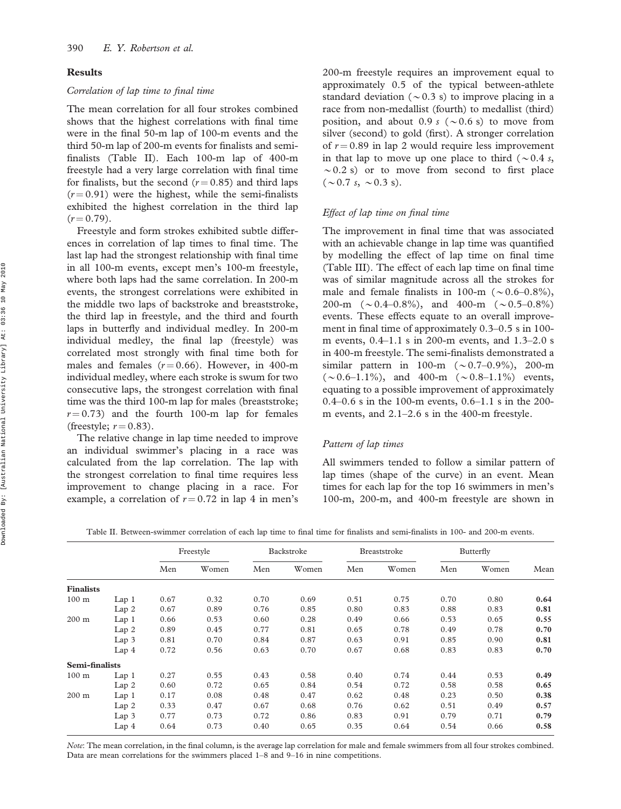#### Results

#### Correlation of lap time to final time

The mean correlation for all four strokes combined shows that the highest correlations with final time were in the final 50-m lap of 100-m events and the third 50-m lap of 200-m events for finalists and semifinalists (Table II). Each 100-m lap of 400-m freestyle had a very large correlation with final time for finalists, but the second  $(r = 0.85)$  and third laps  $(r = 0.91)$  were the highest, while the semi-finalists exhibited the highest correlation in the third lap  $(r = 0.79)$ .

Freestyle and form strokes exhibited subtle differences in correlation of lap times to final time. The last lap had the strongest relationship with final time in all 100-m events, except men's 100-m freestyle, where both laps had the same correlation. In 200-m events, the strongest correlations were exhibited in the middle two laps of backstroke and breaststroke, the third lap in freestyle, and the third and fourth laps in butterfly and individual medley. In 200-m individual medley, the final lap (freestyle) was correlated most strongly with final time both for males and females  $(r = 0.66)$ . However, in 400-m individual medley, where each stroke is swum for two consecutive laps, the strongest correlation with final time was the third 100-m lap for males (breaststroke;  $r = 0.73$ ) and the fourth 100-m lap for females (freestyle;  $r = 0.83$ ).

The relative change in lap time needed to improve an individual swimmer's placing in a race was calculated from the lap correlation. The lap with the strongest correlation to final time requires less improvement to change placing in a race. For example, a correlation of  $r = 0.72$  in lap 4 in men's

200-m freestyle requires an improvement equal to approximately 0.5 of the typical between-athlete standard deviation ( $\sim$  0.3 s) to improve placing in a race from non-medallist (fourth) to medallist (third) position, and about 0.9 s ( $\sim$  0.6 s) to move from silver (second) to gold (first). A stronger correlation of  $r = 0.89$  in lap 2 would require less improvement in that lap to move up one place to third ( $\sim 0.4$  s,  $\sim$  0.2 s) or to move from second to first place  $(\sim 0.7 \text{ s}, \sim 0.3 \text{ s}).$ 

#### Effect of lap time on final time

The improvement in final time that was associated with an achievable change in lap time was quantified by modelling the effect of lap time on final time (Table III). The effect of each lap time on final time was of similar magnitude across all the strokes for male and female finalists in 100-m ( $\sim 0.6-0.8\%$ ), 200-m ( $\sim$  0.4–0.8%), and 400-m ( $\sim$  0.5–0.8%) events. These effects equate to an overall improvement in final time of approximately 0.3–0.5 s in 100 m events, 0.4–1.1 s in 200-m events, and 1.3–2.0 s in 400-m freestyle. The semi-finalists demonstrated a similar pattern in 100-m  $({\sim}0.7{-}0.9\%)$ , 200-m  $(\sim 0.6-1.1\%)$ , and 400-m  $(\sim 0.8-1.1\%)$  events, equating to a possible improvement of approximately 0.4–0.6 s in the 100-m events, 0.6–1.1 s in the 200 m events, and 2.1–2.6 s in the 400-m freestyle.

#### Pattern of lap times

All swimmers tended to follow a similar pattern of lap times (shape of the curve) in an event. Mean times for each lap for the top 16 swimmers in men's 100-m, 200-m, and 400-m freestyle are shown in

Table II. Between-swimmer correlation of each lap time to final time for finalists and semi-finalists in 100- and 200-m events.

|                  |                  | Freestyle |       | Backstroke |       | Breaststroke |       | Butterfly |       |      |
|------------------|------------------|-----------|-------|------------|-------|--------------|-------|-----------|-------|------|
|                  |                  | Men       | Women | Men        | Women | Men          | Women | Men       | Women | Mean |
| <b>Finalists</b> |                  |           |       |            |       |              |       |           |       |      |
| 100 <sub>m</sub> | Lap1             | 0.67      | 0.32  | 0.70       | 0.69  | 0.51         | 0.75  | 0.70      | 0.80  | 0.64 |
|                  | Lap 2            | 0.67      | 0.89  | 0.76       | 0.85  | 0.80         | 0.83  | 0.88      | 0.83  | 0.81 |
| 200 m            | Lap1             | 0.66      | 0.53  | 0.60       | 0.28  | 0.49         | 0.66  | 0.53      | 0.65  | 0.55 |
|                  | Lap2             | 0.89      | 0.45  | 0.77       | 0.81  | 0.65         | 0.78  | 0.49      | 0.78  | 0.70 |
|                  | Lap 3            | 0.81      | 0.70  | 0.84       | 0.87  | 0.63         | 0.91  | 0.85      | 0.90  | 0.81 |
|                  | Lap $4$          | 0.72      | 0.56  | 0.63       | 0.70  | 0.67         | 0.68  | 0.83      | 0.83  | 0.70 |
| Semi-finalists   |                  |           |       |            |       |              |       |           |       |      |
| 100 <sub>m</sub> | Lap1             | 0.27      | 0.55  | 0.43       | 0.58  | 0.40         | 0.74  | 0.44      | 0.53  | 0.49 |
|                  | Lap2             | 0.60      | 0.72  | 0.65       | 0.84  | 0.54         | 0.72  | 0.58      | 0.58  | 0.65 |
| $200 \text{ m}$  | Lap1             | 0.17      | 0.08  | 0.48       | 0.47  | 0.62         | 0.48  | 0.23      | 0.50  | 0.38 |
|                  | Lap2             | 0.33      | 0.47  | 0.67       | 0.68  | 0.76         | 0.62  | 0.51      | 0.49  | 0.57 |
|                  | Lap <sub>3</sub> | 0.77      | 0.73  | 0.72       | 0.86  | 0.83         | 0.91  | 0.79      | 0.71  | 0.79 |
|                  | Lap <sub>4</sub> | 0.64      | 0.73  | 0.40       | 0.65  | 0.35         | 0.64  | 0.54      | 0.66  | 0.58 |

Note: The mean correlation, in the final column, is the average lap correlation for male and female swimmers from all four strokes combined. Data are mean correlations for the swimmers placed 1–8 and 9–16 in nine competitions.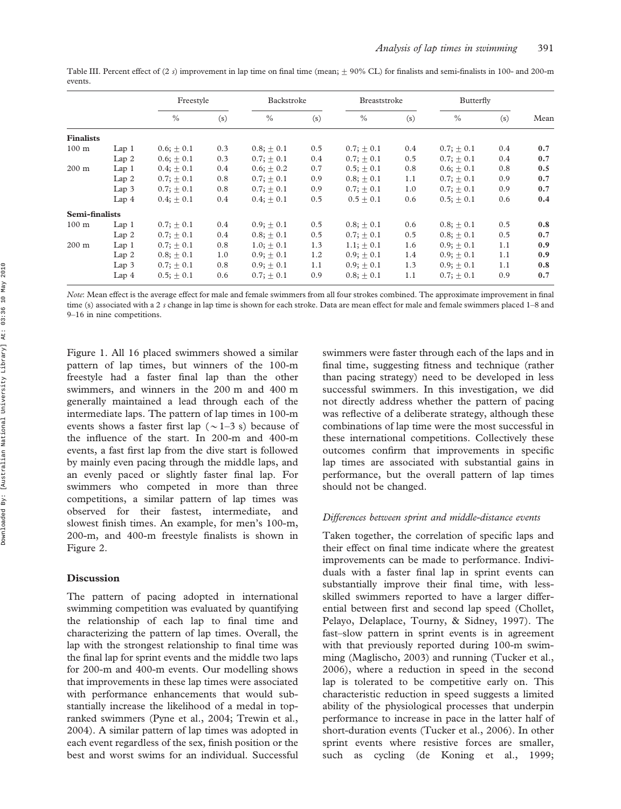|                  |                  | Freestyle      |     | Backstroke  |     | Breaststroke   |     | Butterfly      |     |                  |
|------------------|------------------|----------------|-----|-------------|-----|----------------|-----|----------------|-----|------------------|
|                  |                  | $\frac{0}{0}$  | (s) | $\%$        | (s) | $\frac{0}{0}$  | (s) | $\frac{0}{0}$  | (s) | Mean             |
| <b>Finalists</b> |                  |                |     |             |     |                |     |                |     |                  |
| 100 <sub>m</sub> | Lap1             | $0.6;\pm 0.1$  | 0.3 | $0.8; +0.1$ | 0.5 | $0.7; \pm 0.1$ | 0.4 | $0.7; \pm 0.1$ | 0.4 | 0.7              |
|                  | Lap $2$          | $0.6;\pm 0.1$  | 0.3 | $0.7; +0.1$ | 0.4 | $0.7; +0.1$    | 0.5 | $0.7; \pm 0.1$ | 0.4 | 0.7              |
| $200 \text{ m}$  | Lap1             | $0.4; +0.1$    | 0.4 | $0.6; +0.2$ | 0.7 | $0.5$ ; + 0.1  | 0.8 | $0.6$ ; + 0.1  | 0.8 | 0.5              |
|                  | Lap2             | $0.7; \pm 0.1$ | 0.8 | $0.7; +0.1$ | 0.9 | $0.8; +0.1$    | 1.1 | $0.7; \pm 0.1$ | 0.9 | 0.7              |
|                  | Lap <sub>3</sub> | $0.7; +0.1$    | 0.8 | $0.7; +0.1$ | 0.9 | $0.7; +0.1$    | 1.0 | $0.7; +0.1$    | 0.9 | 0.7              |
|                  | Lap <sub>4</sub> | $0.4; +0.1$    | 0.4 | $0.4; +0.1$ | 0.5 | $0.5 + 0.1$    | 0.6 | $0.5; \pm 0.1$ | 0.6 | 0.4              |
| Semi-finalists   |                  |                |     |             |     |                |     |                |     |                  |
| 100 <sub>m</sub> | Lap1             | $0.7; +0.1$    | 0.4 | $0.9; +0.1$ | 0.5 | $0.8; +0.1$    | 0.6 | $0.8; +0.1$    | 0.5 | 0.8              |
|                  | Lap2             | $0.7; +0.1$    | 0.4 | $0.8; +0.1$ | 0.5 | $0.7; +0.1$    | 0.5 | $0.8; \pm 0.1$ | 0.5 | 0.7              |
| $200 \text{ m}$  | Lap1             | $0.7; +0.1$    | 0.8 | $1.0; +0.1$ | 1.3 | $1.1; +0.1$    | 1.6 | $0.9; +0.1$    | 1.1 | 0.9 <sub>0</sub> |
|                  | Lap2             | $0.8; \pm 0.1$ | 1.0 | $0.9; +0.1$ | 1.2 | $0.9; +0.1$    | 1.4 | $0.9; \pm 0.1$ | 1.1 | 0.9              |
|                  | Lap <sub>3</sub> | $0.7; +0.1$    | 0.8 | $0.9; +0.1$ | 1.1 | $0.9; +0.1$    | 1.3 | $0.9; +0.1$    | 1.1 | 0.8              |
|                  | Lap <sub>4</sub> | $0.5; +0.1$    | 0.6 | $0.7; +0.1$ | 0.9 | $0.8; +0.1$    | 1.1 | $0.7; +0.1$    | 0.9 | 0.7              |

Table III. Percent effect of (2 s) improvement in lap time on final time (mean;  $\pm$  90% CL) for finalists and semi-finalists in 100- and 200-m events.

Note: Mean effect is the average effect for male and female swimmers from all four strokes combined. The approximate improvement in final time (s) associated with a 2 s change in lap time is shown for each stroke. Data are mean effect for male and female swimmers placed 1–8 and 9–16 in nine competitions.

Figure 1. All 16 placed swimmers showed a similar pattern of lap times, but winners of the 100-m freestyle had a faster final lap than the other swimmers, and winners in the 200 m and 400 m generally maintained a lead through each of the intermediate laps. The pattern of lap times in 100-m events shows a faster first lap ( $\sim$  1–3 s) because of the influence of the start. In 200-m and 400-m events, a fast first lap from the dive start is followed by mainly even pacing through the middle laps, and an evenly paced or slightly faster final lap. For swimmers who competed in more than three competitions, a similar pattern of lap times was observed for their fastest, intermediate, and slowest finish times. An example, for men's 100-m, 200-m, and 400-m freestyle finalists is shown in Figure 2.

#### Discussion

The pattern of pacing adopted in international swimming competition was evaluated by quantifying the relationship of each lap to final time and characterizing the pattern of lap times. Overall, the lap with the strongest relationship to final time was the final lap for sprint events and the middle two laps for 200-m and 400-m events. Our modelling shows that improvements in these lap times were associated with performance enhancements that would substantially increase the likelihood of a medal in topranked swimmers (Pyne et al., 2004; Trewin et al., 2004). A similar pattern of lap times was adopted in each event regardless of the sex, finish position or the best and worst swims for an individual. Successful

swimmers were faster through each of the laps and in final time, suggesting fitness and technique (rather than pacing strategy) need to be developed in less successful swimmers. In this investigation, we did not directly address whether the pattern of pacing was reflective of a deliberate strategy, although these combinations of lap time were the most successful in these international competitions. Collectively these outcomes confirm that improvements in specific lap times are associated with substantial gains in performance, but the overall pattern of lap times should not be changed.

#### Differences between sprint and middle-distance events

Taken together, the correlation of specific laps and their effect on final time indicate where the greatest improvements can be made to performance. Individuals with a faster final lap in sprint events can substantially improve their final time, with lessskilled swimmers reported to have a larger differential between first and second lap speed (Chollet, Pelayo, Delaplace, Tourny, & Sidney, 1997). The fast–slow pattern in sprint events is in agreement with that previously reported during 100-m swimming (Maglischo, 2003) and running (Tucker et al., 2006), where a reduction in speed in the second lap is tolerated to be competitive early on. This characteristic reduction in speed suggests a limited ability of the physiological processes that underpin performance to increase in pace in the latter half of short-duration events (Tucker et al., 2006). In other sprint events where resistive forces are smaller, such as cycling (de Koning et al., 1999;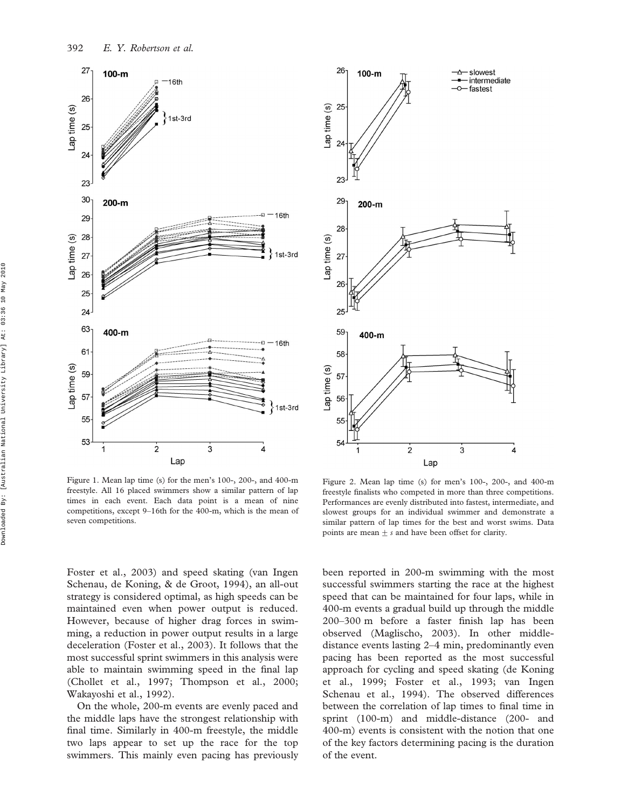





Figure 2. Mean lap time (s) for men's 100-, 200-, and 400-m freestyle finalists who competed in more than three competitions. Performances are evenly distributed into fastest, intermediate, and slowest groups for an individual swimmer and demonstrate a similar pattern of lap times for the best and worst swims. Data points are mean  $\pm s$  and have been offset for clarity.

Foster et al., 2003) and speed skating (van Ingen Schenau, de Koning, & de Groot, 1994), an all-out strategy is considered optimal, as high speeds can be maintained even when power output is reduced. However, because of higher drag forces in swimming, a reduction in power output results in a large deceleration (Foster et al., 2003). It follows that the most successful sprint swimmers in this analysis were able to maintain swimming speed in the final lap (Chollet et al., 1997; Thompson et al., 2000; Wakayoshi et al., 1992).

On the whole, 200-m events are evenly paced and the middle laps have the strongest relationship with final time. Similarly in 400-m freestyle, the middle two laps appear to set up the race for the top swimmers. This mainly even pacing has previously been reported in 200-m swimming with the most successful swimmers starting the race at the highest speed that can be maintained for four laps, while in 400-m events a gradual build up through the middle 200–300 m before a faster finish lap has been observed (Maglischo, 2003). In other middledistance events lasting 2–4 min, predominantly even pacing has been reported as the most successful approach for cycling and speed skating (de Koning et al., 1999; Foster et al., 1993; van Ingen Schenau et al., 1994). The observed differences between the correlation of lap times to final time in sprint (100-m) and middle-distance (200- and 400-m) events is consistent with the notion that one of the key factors determining pacing is the duration of the event.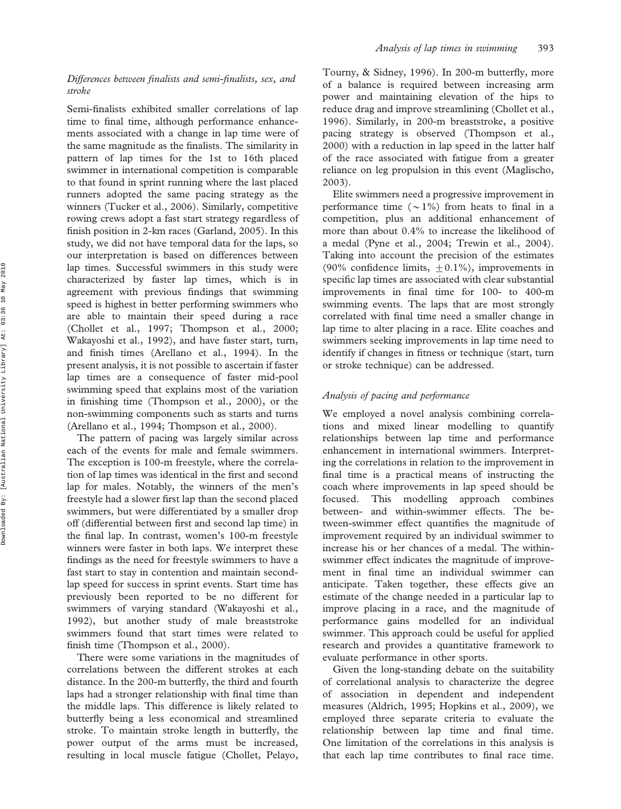## Differences between finalists and semi-finalists, sex, and stroke

Semi-finalists exhibited smaller correlations of lap time to final time, although performance enhancements associated with a change in lap time were of the same magnitude as the finalists. The similarity in pattern of lap times for the 1st to 16th placed swimmer in international competition is comparable to that found in sprint running where the last placed runners adopted the same pacing strategy as the winners (Tucker et al., 2006). Similarly, competitive rowing crews adopt a fast start strategy regardless of finish position in 2-km races (Garland, 2005). In this study, we did not have temporal data for the laps, so our interpretation is based on differences between lap times. Successful swimmers in this study were characterized by faster lap times, which is in agreement with previous findings that swimming speed is highest in better performing swimmers who are able to maintain their speed during a race (Chollet et al., 1997; Thompson et al., 2000; Wakayoshi et al., 1992), and have faster start, turn, and finish times (Arellano et al., 1994). In the present analysis, it is not possible to ascertain if faster lap times are a consequence of faster mid-pool swimming speed that explains most of the variation in finishing time (Thompson et al., 2000), or the non-swimming components such as starts and turns (Arellano et al., 1994; Thompson et al., 2000).

The pattern of pacing was largely similar across each of the events for male and female swimmers. The exception is 100-m freestyle, where the correlation of lap times was identical in the first and second lap for males. Notably, the winners of the men's freestyle had a slower first lap than the second placed swimmers, but were differentiated by a smaller drop off (differential between first and second lap time) in the final lap. In contrast, women's 100-m freestyle winners were faster in both laps. We interpret these findings as the need for freestyle swimmers to have a fast start to stay in contention and maintain secondlap speed for success in sprint events. Start time has previously been reported to be no different for swimmers of varying standard (Wakayoshi et al., 1992), but another study of male breaststroke swimmers found that start times were related to finish time (Thompson et al., 2000).

There were some variations in the magnitudes of correlations between the different strokes at each distance. In the 200-m butterfly, the third and fourth laps had a stronger relationship with final time than the middle laps. This difference is likely related to butterfly being a less economical and streamlined stroke. To maintain stroke length in butterfly, the power output of the arms must be increased, resulting in local muscle fatigue (Chollet, Pelayo,

Tourny, & Sidney, 1996). In 200-m butterfly, more of a balance is required between increasing arm power and maintaining elevation of the hips to reduce drag and improve streamlining (Chollet et al., 1996). Similarly, in 200-m breaststroke, a positive pacing strategy is observed (Thompson et al., 2000) with a reduction in lap speed in the latter half of the race associated with fatigue from a greater reliance on leg propulsion in this event (Maglischo, 2003).

Elite swimmers need a progressive improvement in performance time  $({\sim}1\%)$  from heats to final in a competition, plus an additional enhancement of more than about 0.4% to increase the likelihood of a medal (Pyne et al., 2004; Trewin et al., 2004). Taking into account the precision of the estimates (90% confidence limits,  $\pm$  0.1%), improvements in specific lap times are associated with clear substantial improvements in final time for 100- to 400-m swimming events. The laps that are most strongly correlated with final time need a smaller change in lap time to alter placing in a race. Elite coaches and swimmers seeking improvements in lap time need to identify if changes in fitness or technique (start, turn or stroke technique) can be addressed.

#### Analysis of pacing and performance

We employed a novel analysis combining correlations and mixed linear modelling to quantify relationships between lap time and performance enhancement in international swimmers. Interpreting the correlations in relation to the improvement in final time is a practical means of instructing the coach where improvements in lap speed should be focused. This modelling approach combines between- and within-swimmer effects. The between-swimmer effect quantifies the magnitude of improvement required by an individual swimmer to increase his or her chances of a medal. The withinswimmer effect indicates the magnitude of improvement in final time an individual swimmer can anticipate. Taken together, these effects give an estimate of the change needed in a particular lap to improve placing in a race, and the magnitude of performance gains modelled for an individual swimmer. This approach could be useful for applied research and provides a quantitative framework to evaluate performance in other sports.

Given the long-standing debate on the suitability of correlational analysis to characterize the degree of association in dependent and independent measures (Aldrich, 1995; Hopkins et al., 2009), we employed three separate criteria to evaluate the relationship between lap time and final time. One limitation of the correlations in this analysis is that each lap time contributes to final race time.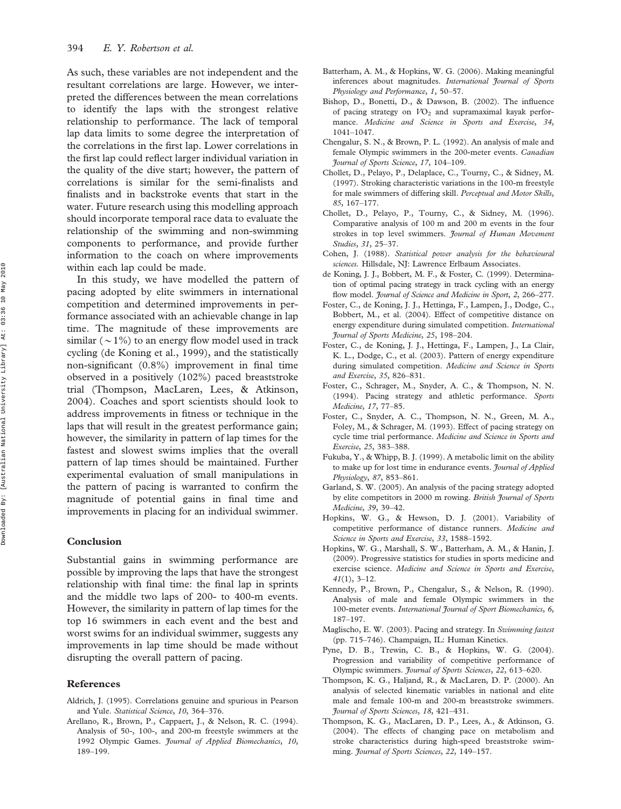As such, these variables are not independent and the resultant correlations are large. However, we interpreted the differences between the mean correlations to identify the laps with the strongest relative relationship to performance. The lack of temporal lap data limits to some degree the interpretation of the correlations in the first lap. Lower correlations in the first lap could reflect larger individual variation in the quality of the dive start; however, the pattern of correlations is similar for the semi-finalists and finalists and in backstroke events that start in the water. Future research using this modelling approach should incorporate temporal race data to evaluate the relationship of the swimming and non-swimming components to performance, and provide further information to the coach on where improvements within each lap could be made.

In this study, we have modelled the pattern of pacing adopted by elite swimmers in international competition and determined improvements in performance associated with an achievable change in lap time. The magnitude of these improvements are similar ( $\sim$ 1%) to an energy flow model used in track cycling (de Koning et al., 1999), and the statistically non-significant (0.8%) improvement in final time observed in a positively (102%) paced breaststroke trial (Thompson, MacLaren, Lees, & Atkinson, 2004). Coaches and sport scientists should look to address improvements in fitness or technique in the laps that will result in the greatest performance gain; however, the similarity in pattern of lap times for the fastest and slowest swims implies that the overall pattern of lap times should be maintained. Further experimental evaluation of small manipulations in the pattern of pacing is warranted to confirm the magnitude of potential gains in final time and improvements in placing for an individual swimmer.

## Conclusion

Substantial gains in swimming performance are possible by improving the laps that have the strongest relationship with final time: the final lap in sprints and the middle two laps of 200- to 400-m events. However, the similarity in pattern of lap times for the top 16 swimmers in each event and the best and worst swims for an individual swimmer, suggests any improvements in lap time should be made without disrupting the overall pattern of pacing.

#### References

- Aldrich, J. (1995). Correlations genuine and spurious in Pearson and Yule. Statistical Science, 10, 364–376.
- Arellano, R., Brown, P., Cappaert, J., & Nelson, R. C. (1994). Analysis of 50-, 100-, and 200-m freestyle swimmers at the 1992 Olympic Games. Journal of Applied Biomechanics, 10, 189–199.
- Batterham, A. M., & Hopkins, W. G. (2006). Making meaningful inferences about magnitudes. International Journal of Sports Physiology and Performance, 1, 50–57.
- Bishop, D., Bonetti, D., & Dawson, B. (2002). The influence of pacing strategy on  $VO<sub>2</sub>$  and supramaximal kayak performance. Medicine and Science in Sports and Exercise, 34, 1041–1047.
- Chengalur, S. N., & Brown, P. L. (1992). An analysis of male and female Olympic swimmers in the 200-meter events. Canadian Journal of Sports Science, 17, 104–109.
- Chollet, D., Pelayo, P., Delaplace, C., Tourny, C., & Sidney, M. (1997). Stroking characteristic variations in the 100-m freestyle for male swimmers of differing skill. Perceptual and Motor Skills, 85, 167–177.
- Chollet, D., Pelayo, P., Tourny, C., & Sidney, M. (1996). Comparative analysis of 100 m and 200 m events in the four strokes in top level swimmers. Journal of Human Movement Studies, 31, 25–37.
- Cohen, J. (1988). Statistical power analysis for the behavioural sciences. Hillsdale, NJ: Lawrence Erlbaum Associates.
- de Koning, J. J., Bobbert, M. F., & Foster, C. (1999). Determination of optimal pacing strategy in track cycling with an energy flow model. Journal of Science and Medicine in Sport, 2, 266–277.
- Foster, C., de Koning, J. J., Hettinga, F., Lampen, J., Dodge, C., Bobbert, M., et al. (2004). Effect of competitive distance on energy expenditure during simulated competition. International Journal of Sports Medicine, 25, 198–204.
- Foster, C., de Koning, J. J., Hettinga, F., Lampen, J., La Clair, K. L., Dodge, C., et al. (2003). Pattern of energy expenditure during simulated competition. Medicine and Science in Sports and Exercise, 35, 826–831.
- Foster, C., Schrager, M., Snyder, A. C., & Thompson, N. N. (1994). Pacing strategy and athletic performance. Sports Medicine, 17, 77–85.
- Foster, C., Snyder, A. C., Thompson, N. N., Green, M. A., Foley, M., & Schrager, M. (1993). Effect of pacing strategy on cycle time trial performance. Medicine and Science in Sports and Exercise, 25, 383–388.
- Fukuba, Y., & Whipp, B. J. (1999). A metabolic limit on the ability to make up for lost time in endurance events. *Journal of Applied* Physiology, 87, 853–861.
- Garland, S. W. (2005). An analysis of the pacing strategy adopted by elite competitors in 2000 m rowing. British Journal of Sports Medicine, 39, 39–42.
- Hopkins, W. G., & Hewson, D. J. (2001). Variability of competitive performance of distance runners. Medicine and Science in Sports and Exercise, 33, 1588–1592.
- Hopkins, W. G., Marshall, S. W., Batterham, A. M., & Hanin, J. (2009). Progressive statistics for studies in sports medicine and exercise science. Medicine and Science in Sports and Exercise,  $41(1), 3-12.$
- Kennedy, P., Brown, P., Chengalur, S., & Nelson, R. (1990). Analysis of male and female Olympic swimmers in the 100-meter events. International Journal of Sport Biomechanics, 6, 187–197.
- Maglischo, E. W. (2003). Pacing and strategy. In Swimming fastest (pp. 715–746). Champaign, IL: Human Kinetics.
- Pyne, D. B., Trewin, C. B., & Hopkins, W. G. (2004). Progression and variability of competitive performance of Olympic swimmers. Journal of Sports Sciences, 22, 613–620.
- Thompson, K. G., Haljand, R., & MacLaren, D. P. (2000). An analysis of selected kinematic variables in national and elite male and female 100-m and 200-m breaststroke swimmers. Journal of Sports Sciences, 18, 421–431.
- Thompson, K. G., MacLaren, D. P., Lees, A., & Atkinson, G. (2004). The effects of changing pace on metabolism and stroke characteristics during high-speed breaststroke swimming. Journal of Sports Sciences, 22, 149–157.